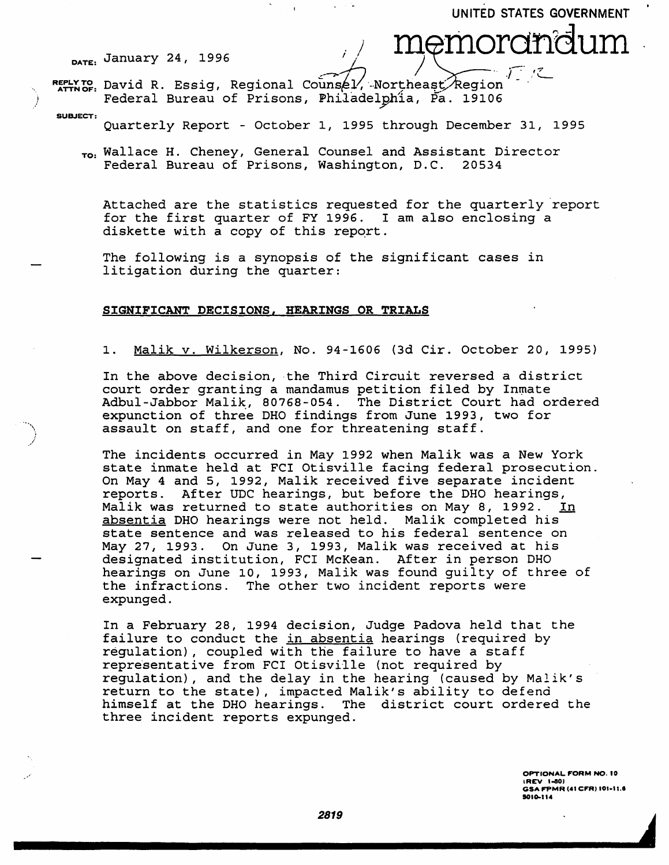UNITED STATES GOVERNMENT

DATE: *<sup>1996</sup>*January 24, <sup>i</sup>/ / m~rhordhdum *)* . .~',"7

)

REPLY TO David R. Essig, Regional Counsel/, Northeast/Region  $\boldsymbol{I}$  $-$  .  $\sim$ Federal Bureau of Prisons, Philadelphia, Pa. 19106

SUBJECT: Quarterly Report - October 1, 1995 through December 31, 1995

To: Wallace H. Cheney, General Counsel and Assistant Director<br>Federal Bureau of Prisons, Washington, D.C. 20534 Federal Bureau of Prisons, Washington, D.C.

Attached are the statistics requested for the quarterly 'report for the first quarter of FY 1996. I am also enclosing a diskette with a copy of this report.

The following is a synopsis of the significant cases in litigation during the quarter:

## SIGNIFICANT DECISIONS, HEARINGS OR TRIALS

1. Malik v. Wilkerson, No. 94-1606 (3d Cir. October 20, 1995)

In the above decision, the Third Circuit reversed a district court order granting a mandamus petition filed by Inmate Adbul-Jabbor Malik, 80768-054. The District Court had ordered expunction of three DHO findings from June 1993, two for assault on staff, and one for threatening staff.

The incidents occurred in May 1992 when Malik was a New York state inmate held at FCI Otisville facing federal prosecution. On May 4 and 5, 1992, Malik received five separate incident reports. After UDC hearings, but before the DHO hearings, Malik was returned to state authorities on May 8, 1992. In absentia DHO hearings were not held. Malik completed his state sentence and was released to his federal sentence on May 27, 1993. On June 3, 1993, Malik was received at his designated institution, FCI McKean. After in person DHO hearings on June 10, 1993, Malik was found guilty of three of the infractions. The other two incident reports were expunged.

In a February 28, 1994 decision, Judge Padova held that the failure to conduct the in absentia hearings (required by regulation), coupled with the failure to have a staff representative from FCI Otisville (not required by regulation), and the delay in the hearing (caused by Malik's return to the state), impacted Malik's ability to defend himself at the DHO hearings. The district court ordered the three incident reports expunged.

> OPTIONAL FORM NO. 10 (REV 1-80) GSA FPMR (41 CFR) 101-11.6 SOlo-114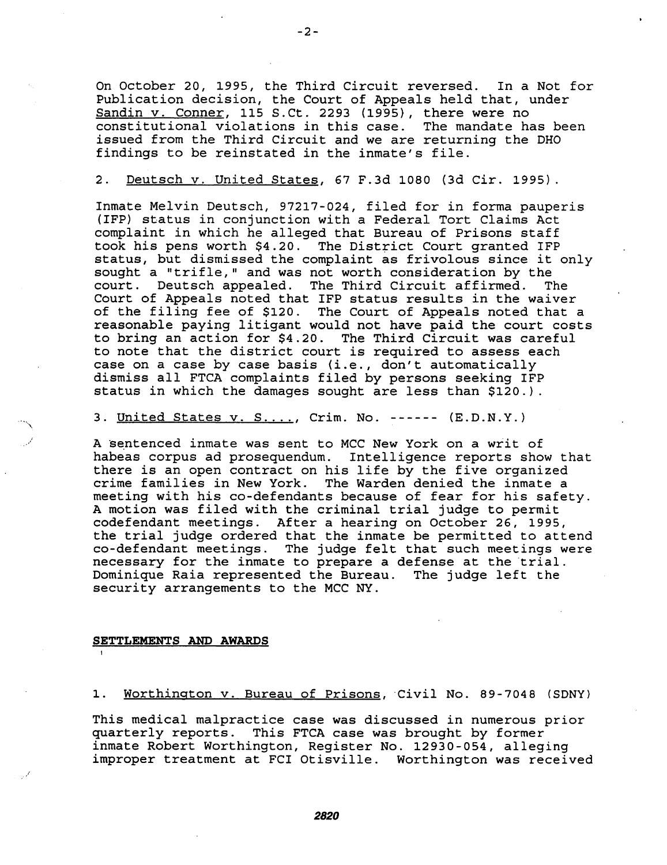On October 20, 1995, the Third Circuit reversed. In a Not for Publication decision, the Court of Appeals held that, under Sandin v. Conner, 115 S.Ct. 2293 (1995), there were no constitutional violations in this case. The mandate has been issued from the Third Circuit and we are returning the DHO findings to be reinstated in the inmate's file.

#### 2. Deutsch v. United States, 67 F.3d 1080 (3d Cir. 1995).

Inmate Melvin Deutsch, 97217-024, filed for in forma pauperis (IFP) status in conjunction with a Federal Tort Claims Act complaint in which he alleged that Bureau of Prisons staff took his pens worth \$4.20. The District Court granted IFP status, but dismissed the complaint as frivolous since it only sought a "trifle," and was not worth consideration by the<br>court. Deutsch appealed. The Third Circuit affirmed. The court. Deutsch appealed. The Third Circuit affirmed. Court of Appeals noted that IFP status results in the waiver of the filing fee of \$120. The Court of Appeals noted that a reasonable paying litigant would not have paid the court costs to bring an action for \$4.20. The Third Circuit was careful to note that the district court is required to assess each case on a case by case basis (i.e., don't automatically dismiss all FTCA complaints filed by persons seeking IFP status in which the damages sought are less than \$120.).

## 3. United States v. S...., Crim. No. ------ (E.D.N.Y.)

A sentenced inmate was sent to MCC New York on a writ of habeas corpus ad prosequendum. Intelligence reports show that there is an open contract on his life by the five organized crime families in New York. The Warden denied the inmate a meeting with his co-defendants because of fear for his safety. A motion was filed with the criminal trial judge to permit codefendant meetings. After a hearing on October 26, 1995, the trial judge ordered that the inmate be permitted to attend co-defendant meetings. The judge felt that such meetings were necessary for the inmate to prepare a defense at the trial. Dominique Raia represented the Bureau. The judge left the security arrangements to the MCC NY.

#### **SETTLEMENTS AND AWARDS**

. . . . ( ) is the  $\mathcal{N}_\infty$ I "

/

1. Worthington v. Bureau of Prisons, Civil No. 89-7048 (SDNY)

This medical malpractice case was discussed in numerous prior quarterly reports. This FTCA case was brought by former inmate Robert Worthington, Register No. 12930-054, alleging improper treatment at FCI Otisville. Worthington was received

*2820*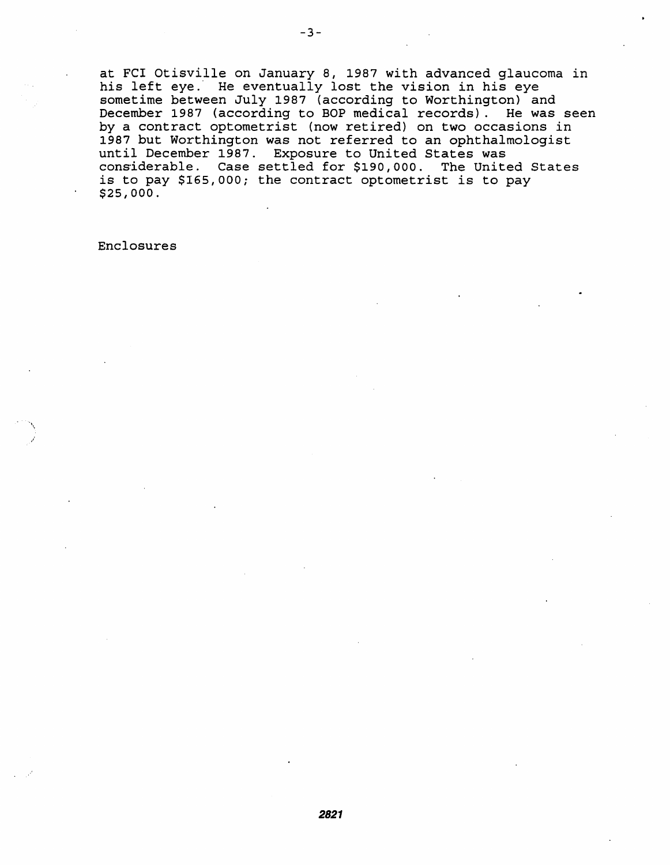at FCI Otisville on January 8, 1987 with advanced glaucoma in his left eye.' He eventually lost the vision in his eye sometime between July 1987 (according to Worthington) and December 1987 (according to BOP medical records). He was seen by a contract optometrist (now retired) on two occasions in 1987 but Worthington was not referred to an ophthalmologist until December 1987. Exposure to United States was considerable. Case settled for \$190,000. The United States is to pay \$165,000; the contract optometrist is to pay \$25,000.

Enclosures

\ ,/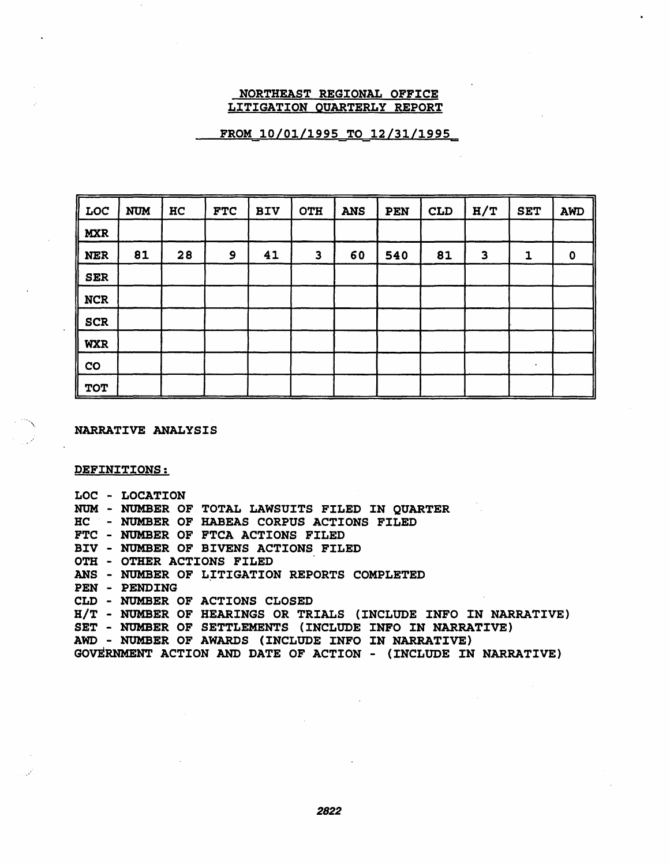## NORTHEAST REGIONAL OFFICE LITIGATION QUARTERLY REPORT

# FROM 10/01/1995 TO 12/31/1995

| LOC         | <b>NUM</b> | HC | <b>FTC</b> | <b>BIV</b> | <b>OTH</b>              | <b>ANS</b> | <b>PEN</b> | <b>CLD</b> | H/T          | <b>SET</b> | AWD         |
|-------------|------------|----|------------|------------|-------------------------|------------|------------|------------|--------------|------------|-------------|
| <b>MXR</b>  |            |    |            |            |                         |            |            |            |              |            |             |
| <b>NER</b>  | 81         | 28 | 9          | 41         | $\overline{\mathbf{3}}$ | 60         | 540        | 81         | $\mathbf{3}$ | 1          | $\mathbf 0$ |
| <b>SER</b>  |            |    |            |            |                         |            |            |            |              |            |             |
| <b>NCR</b>  |            |    |            |            |                         |            |            |            |              |            |             |
| <b>SCR</b>  |            |    |            |            |                         |            |            |            |              |            |             |
| <b>WXR</b>  |            |    |            |            |                         |            |            |            |              |            |             |
| $_{\rm CO}$ |            |    |            |            |                         |            |            |            |              |            |             |
| <b>TOT</b>  |            |    |            |            |                         |            |            |            |              |            |             |

NARRATIVE ANALYSIS

DEFINITIONS:

LOC - LOCATION NOM - NUMBER OF TOTAL LAWSUITS FILED IN QUARTER HC - NUMBER OF HABEAS CORPUS ACTIONS FILED FTC - NUMBER OF FTCA ACTIONS FILED BIV - NUMBER OF BIVENS ACTIONS FILED OTH - OTHER ACTIONS FILED ANS - NUMBER OF LITIGATION REPORTS COMPLETED PEN - PENDING CLD - NUMBER OF ACTIONS CLOSED HIT - NUMBER OF HEARINGS OR TRIALS (INCLUDE INFO IN NARRATIVE) SET - NUMBER OF SETTLEMENTS (INCLUDE INFO IN NARRATIVE) AWD - NUMBER OF AWARDS (INCLUDE INFO IN NARRATIVE) GOvERNMENT ACTION AND DATE OF ACTION - (INCLUDE IN NARRATIVE)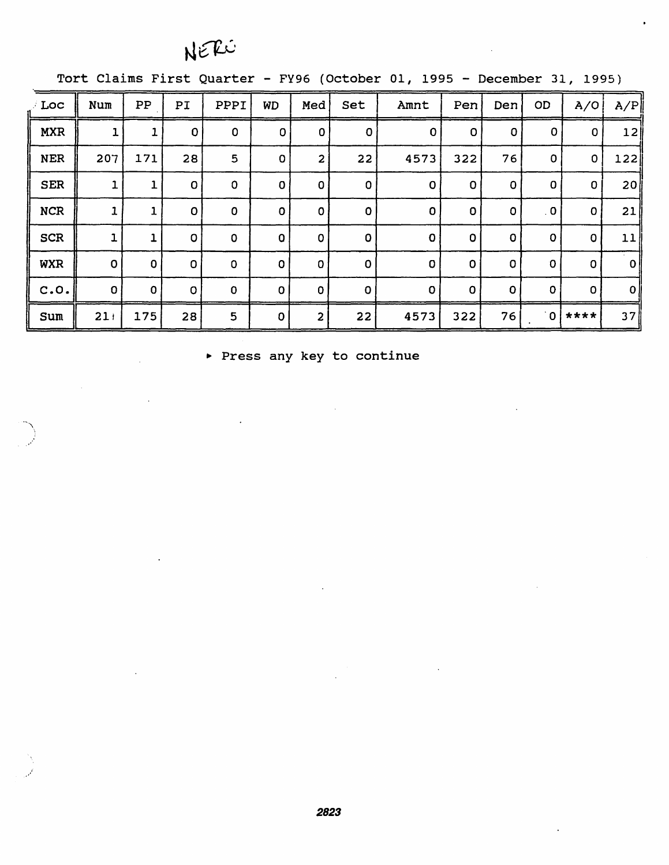# NERO

Tort Claims First Quarter - FY96 (October 01, 1995 - December 31, 1995)

| Loc        | Num          | PP          | PI          | PPPI        | WD           | Med            | Set         | Amnt        | Pen         | Den         | OD                      | A/O          | A/P             |
|------------|--------------|-------------|-------------|-------------|--------------|----------------|-------------|-------------|-------------|-------------|-------------------------|--------------|-----------------|
| <b>MXR</b> | ı            |             | $\mathbf 0$ | $\mathbf 0$ | $\mathbf 0$  | 0              | $\mathbf 0$ | $\mathbf 0$ | $\mathbf 0$ | O           | $\mathbf 0$             | 0            | 12              |
| <b>NER</b> | 207          | 171         | 28          | 5           | 0            | $\overline{2}$ | 22          | 4573        | 322         | 76          | $\mathsf{O}$            | $\mathbf{O}$ | 122             |
| <b>SER</b> | 1            | 1           | $\mathbf 0$ | $\mathbf 0$ | 0            | $\mathbf{0}$   | $\Omega$    | $\mathbf 0$ | $\mathbf 0$ | 0           | 0                       | 0            | 20 <sub>l</sub> |
| <b>NCR</b> | 1            | 1           | $\mathbf 0$ | $\mathbf 0$ | 0            | 0              | 0           | $\mathbf 0$ | 0           | 0           | $\overline{\mathbf{0}}$ | $\mathbf{O}$ | 21              |
| <b>SCR</b> | ı            |             | $\circ$     | $\mathbf 0$ | 0            | $\mathbf 0$    | $\Omega$    | $\mathbf 0$ | O           | $\mathbf 0$ | 0                       | 0            | 11              |
| <b>WXR</b> | $\mathbf 0$  | $\mathbf 0$ | $\mathbf 0$ | $\mathbf 0$ | $\mathbf 0$  | 0              | $\Omega$    | $\mathbf 0$ | $\mathbf 0$ | $\mathbf 0$ | $\mathbf 0$             | 0            | 0               |
| C.0.       | $\mathbf{O}$ | $\mathbf 0$ | $\mathbf O$ | $\mathbf 0$ | $\mathbf{O}$ | $\mathbf{0}$   | $\Omega$    | 0           | $\mathbf 0$ | $\Omega$    | $\mathbf{O}$            | $\Omega$     | 0               |
| Sum        | 21           | 175         | 28          | 5           | $\Omega$     | $\overline{2}$ | 22          | 4573        | 322         | 76          |                         | $0$ ****     | 37              |

▶ Press any key to continue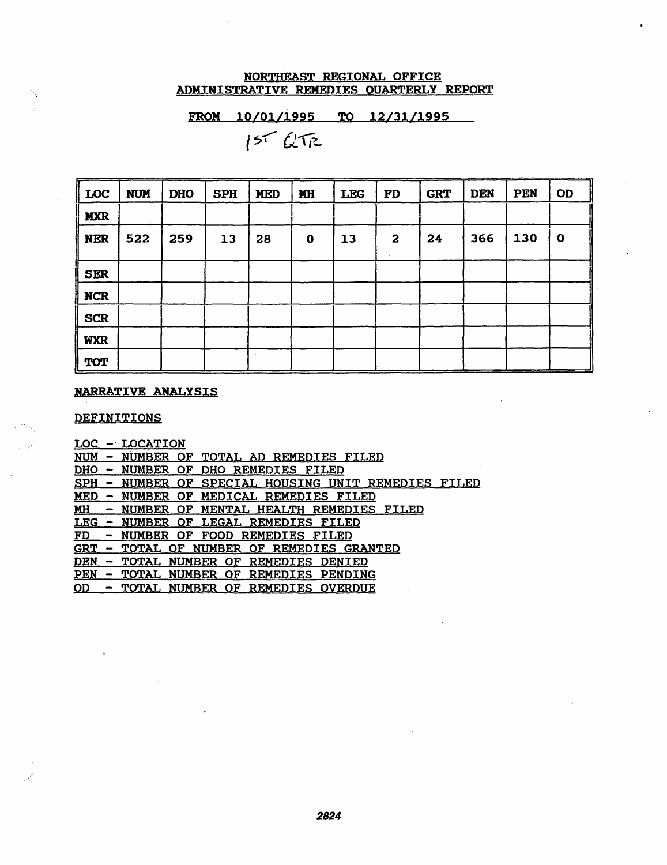# NORTHEAST REGIONAL OFFICE ADMINISTRATIVE REMEDIES OUARTERLY REPORT

FROM *10/01/1995* TO 12/31/1995

 $157672$ 

| <b>LOC</b> | <b>NUM</b> | <b>DHO</b> | <b>SPH</b> | <b>MED</b> | MH       | <b>LEG</b> | <b>FD</b>    | <b>GRT</b> | <b>DEN</b> | PEN | <b>OD</b>   |
|------------|------------|------------|------------|------------|----------|------------|--------------|------------|------------|-----|-------------|
| <b>MXR</b> |            |            |            |            |          |            |              |            |            |     |             |
| <b>NER</b> | 522        | 259        | 13         | 28         | $\bf{0}$ | 13         | $\mathbf{2}$ | 24         | 366        | 130 | $\mathbf 0$ |
| <b>SER</b> |            |            |            |            |          |            |              |            |            |     |             |
| <b>NCR</b> |            |            |            |            |          |            |              |            |            |     |             |
| <b>SCR</b> |            |            |            |            |          |            |              |            |            |     |             |
| <b>WXR</b> |            |            |            |            |          |            |              |            |            |     |             |
| <b>TOT</b> |            |            |            |            |          |            |              |            |            |     |             |

# NARRATIVE ANALYSIS

DEFINITIONS

| <b>LOC</b> | - LOCATION                                      |
|------------|-------------------------------------------------|
| <b>NUM</b> | - NUMBER OF TOTAL AD REMEDIES FILED             |
| <u>DHO</u> | - NUMBER OF DHO REMEDIES FILED                  |
| <b>SPH</b> | - NUMBER OF SPECIAL HOUSING UNIT REMEDIES FILED |
| <u>MED</u> | - NUMBER OF MEDICAL REMEDIES FILED              |
| <u>MH</u>  | NUMBER OF MENTAL HEALTH REMEDIES FILED          |
| <b>LEG</b> | NUMBER OF LEGAL REMEDIES FILED                  |
| <u>FD</u>  | - NUMBER OF FOOD REMEDIES FILED                 |
| <b>GRT</b> | - TOTAL OF NUMBER OF REMEDIES GRANTED           |
| <b>DEN</b> | <u>- TOTAL NUMBER OF REMEDIES DENIED</u>        |
| <b>PEN</b> | - TOTAL NUMBER OF REMEDIES PENDING              |
| OD -       | - TOTAL NUMBER OF REMEDIES OVERDUE              |
|            |                                                 |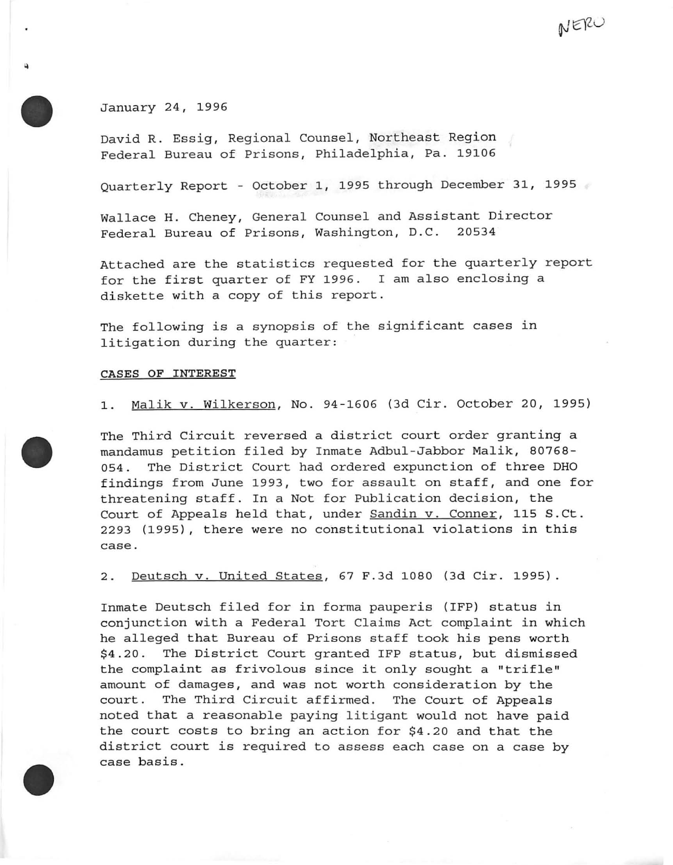January 24, 1996

David R. Essig, Regional Counsel, Northeast Region Federal Bureau of Prisons, Philadelphia, Pa. 19106

Quarterly Report - October 1, 1995 through December 31, 1995

NERU

Wallace H. Cheney, General Counsel and Assistant Director Federal Bureau of Prisons, Washington, D.C. 20534

Attached are the statistics requested for the quarterly report for the first quarter of FY 1996. I am also enclosing a diskette with a copy of this report .

The following is a synopsis of the significant cases in litigation during the quarter:

#### CASES OF INTEREST

1. Malik v. Wilkerson, No. 94-1606 (3d Cir. October 20, 1995)

The Third Circuit reversed a district court order granting a mandamus petition filed by Inmate Adbul-Jabbor Malik, 80768- 054. The District Court had ordered expunction of three DHO findings from June 1993, two for assault on staff, and one for threatening staff. In a Not for Publication decision, the Court of Appeals held that, under Sandin v. Conner, 115 S.Ct. 2293 (1995), there were no constitutional violations in this case.

2. Deutsch v. United States, 67 F.3d 1080 (3d Cir. 1995).

Inmate Deutsch filed for in forma pauperis (IFP) status in conjunction with a Federal Tort Claims Act complaint in which he alleged that Bureau of Prisons staff took his pens worth \$4.20. The District Court granted IFP status, but dismissed the complaint as frivolous since it only sought a "trifle" amount of damages, and was not worth consideration by the court. The Third Circuit affirmed. The Court of Appeals noted that a reasonable paying litigant would not have paid the court costs to bring an action for \$4 . 20 and that the district court is required to assess each case on a case by case basis.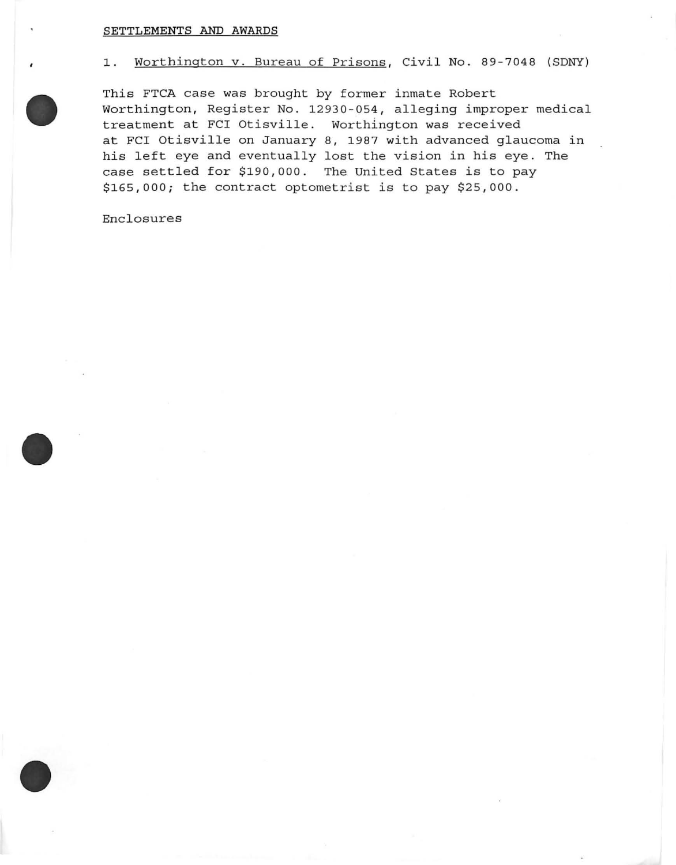## **SETTLEMENTS AND AWARDS**



This FTCA case was brought by former inmate Robert Worthington, Register No. 12930-054, alleging improper medical treatment at FCI Otisville. Worthington was received at FCI Otisville on January 8, 1987 with advanced glaucoma in his left eye and eventually lost the vision in his eye. The case settled for \$190,000. The United States is to pay \$165,000; the contract optometrist is to pay \$25,000.

Enclosures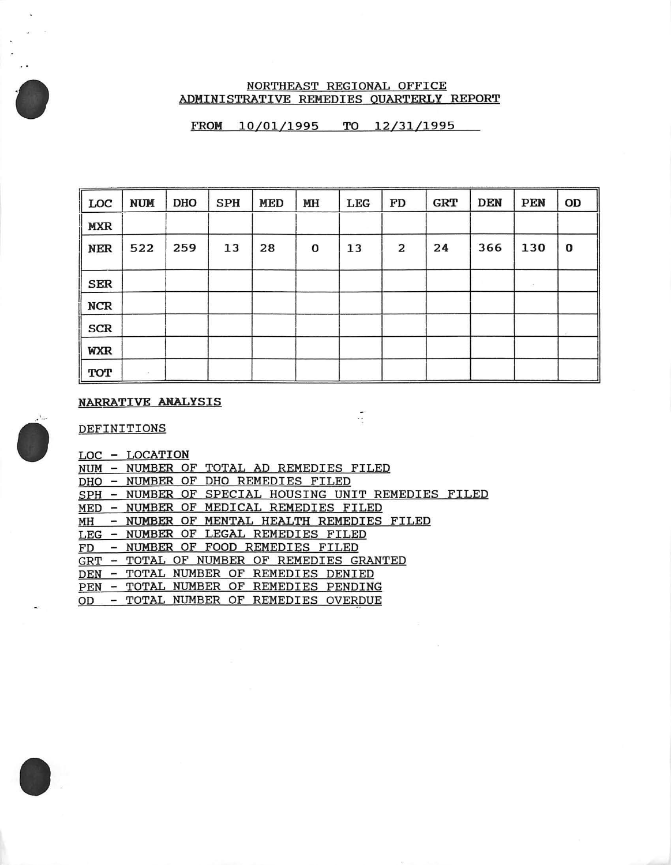## NORTHEAST REGIONAL OFFICE ADMINISTRATIVE REMEDIES OUARTERLY REPORT

FROM 10/01/1995 TO 12/31/1995

| $\parallel$ LOC | <b>NUM</b> | <b>DHO</b> | <b>SPH</b> | <b>MED</b> | MH | LEG | FD | ${\tt GRT}$ | <b>DEN</b> | PEN | OD |
|-----------------|------------|------------|------------|------------|----|-----|----|-------------|------------|-----|----|
| <b>MXR</b>      |            |            |            |            |    |     |    |             |            |     |    |
| <b>NER</b>      | 522        | 259        | 13         | 28         | 0  | 13  | 2  | 24          | 366        | 130 | O  |
| <b>SER</b>      |            |            |            |            |    |     |    |             |            | 35  |    |
| <b>NCR</b>      |            |            |            |            |    |     |    |             |            |     |    |
| <b>SCR</b>      |            |            |            |            |    |     |    |             |            |     |    |
| <b>WXR</b>      |            |            |            |            |    |     |    |             |            |     |    |
| TOT             | ST.        |            |            |            |    |     |    |             |            |     |    |

 $\frac{1}{2}$ 

## NARRATIVE ANALYSIS

DEFINITIONS

|            |                          | LOC - LOCATION                                      |
|------------|--------------------------|-----------------------------------------------------|
|            |                          | NUM - NUMBER OF TOTAL AD REMEDIES FILED             |
|            |                          | DHO - NUMBER OF DHO REMEDIES FILED                  |
|            |                          | SPH - NUMBER OF SPECIAL HOUSING UNIT REMEDIES FILED |
|            |                          | MED - NUMBER OF MEDICAL REMEDIES FILED              |
|            |                          | MH - NUMBER OF MENTAL HEALTH REMEDIES FILED         |
|            |                          | LEG - NUMBER OF LEGAL REMEDIES FILED                |
|            |                          | FD - NUMBER OF FOOD REMEDIES FILED                  |
| <b>GRT</b> |                          | - TOTAL OF NUMBER OF REMEDIES GRANTED               |
| DEN        |                          | - TOTAL NUMBER OF REMEDIES DENIED                   |
|            |                          | PEN - TOTAL NUMBER OF REMEDIES PENDING              |
| OD         | $\overline{\phantom{0}}$ | TOTAL NUMBER OF REMEDIES OVERDUE                    |